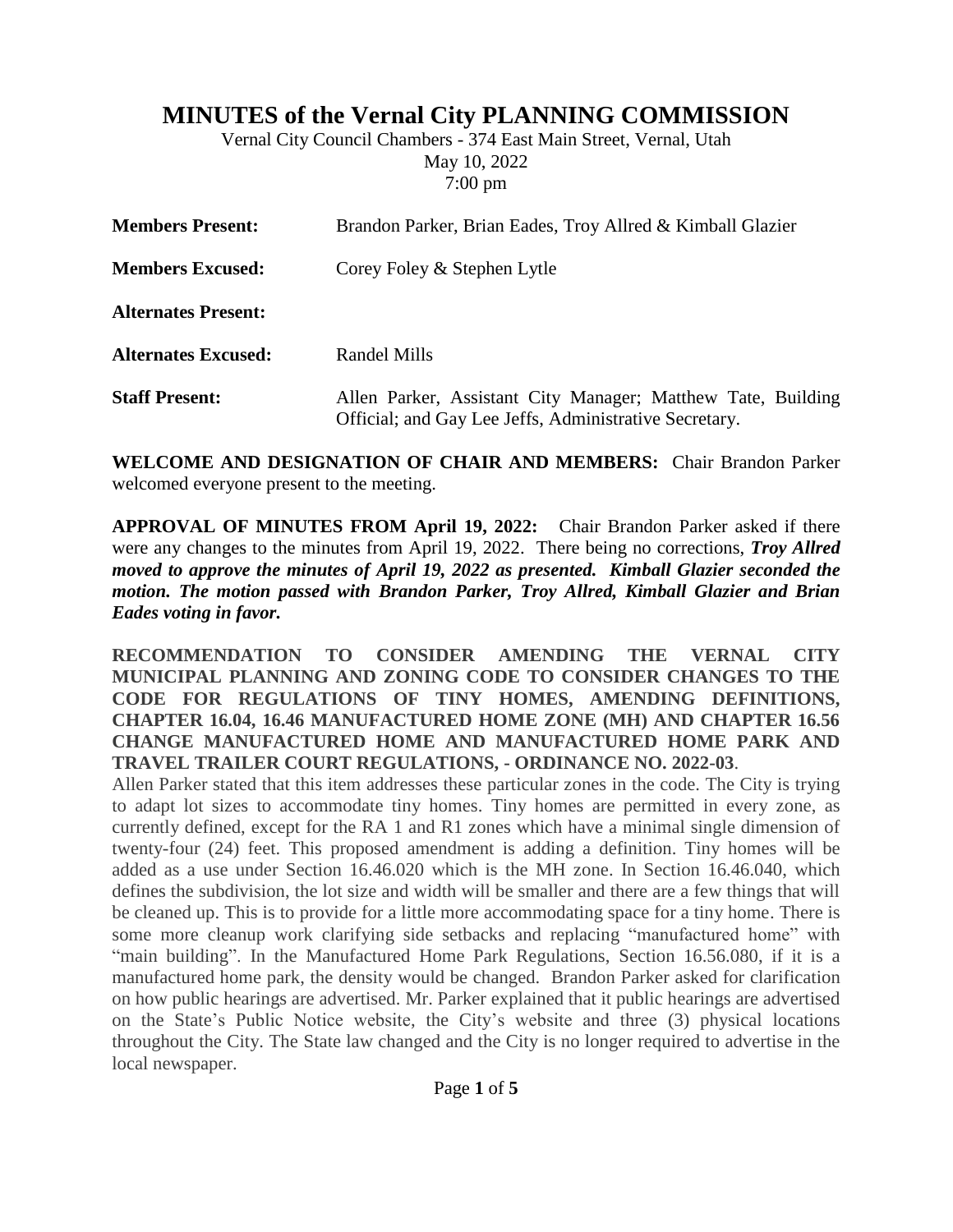# **MINUTES of the Vernal City PLANNING COMMISSION**

Vernal City Council Chambers - 374 East Main Street, Vernal, Utah May 10, 2022 7:00 pm

| <b>Members Present:</b>    | Brandon Parker, Brian Eades, Troy Allred & Kimball Glazier                                                             |
|----------------------------|------------------------------------------------------------------------------------------------------------------------|
| <b>Members Excused:</b>    | Corey Foley & Stephen Lytle                                                                                            |
| <b>Alternates Present:</b> |                                                                                                                        |
| <b>Alternates Excused:</b> | Randel Mills                                                                                                           |
| <b>Staff Present:</b>      | Allen Parker, Assistant City Manager; Matthew Tate, Building<br>Official; and Gay Lee Jeffs, Administrative Secretary. |

**WELCOME AND DESIGNATION OF CHAIR AND MEMBERS:** Chair Brandon Parker welcomed everyone present to the meeting.

**APPROVAL OF MINUTES FROM April 19, 2022:** Chair Brandon Parker asked if there were any changes to the minutes from April 19, 2022. There being no corrections, *Troy Allred moved to approve the minutes of April 19, 2022 as presented. Kimball Glazier seconded the motion. The motion passed with Brandon Parker, Troy Allred, Kimball Glazier and Brian Eades voting in favor.*

**RECOMMENDATION TO CONSIDER AMENDING THE VERNAL CITY MUNICIPAL PLANNING AND ZONING CODE TO CONSIDER CHANGES TO THE CODE FOR REGULATIONS OF TINY HOMES, AMENDING DEFINITIONS, CHAPTER 16.04, 16.46 MANUFACTURED HOME ZONE (MH) AND CHAPTER 16.56 CHANGE MANUFACTURED HOME AND MANUFACTURED HOME PARK AND TRAVEL TRAILER COURT REGULATIONS, - ORDINANCE NO. 2022-03**.

Allen Parker stated that this item addresses these particular zones in the code. The City is trying to adapt lot sizes to accommodate tiny homes. Tiny homes are permitted in every zone, as currently defined, except for the RA 1 and R1 zones which have a minimal single dimension of twenty-four (24) feet. This proposed amendment is adding a definition. Tiny homes will be added as a use under Section 16.46.020 which is the MH zone. In Section 16.46.040, which defines the subdivision, the lot size and width will be smaller and there are a few things that will be cleaned up. This is to provide for a little more accommodating space for a tiny home. There is some more cleanup work clarifying side setbacks and replacing "manufactured home" with "main building". In the Manufactured Home Park Regulations, Section 16.56.080, if it is a manufactured home park, the density would be changed. Brandon Parker asked for clarification on how public hearings are advertised. Mr. Parker explained that it public hearings are advertised on the State's Public Notice website, the City's website and three (3) physical locations throughout the City. The State law changed and the City is no longer required to advertise in the local newspaper.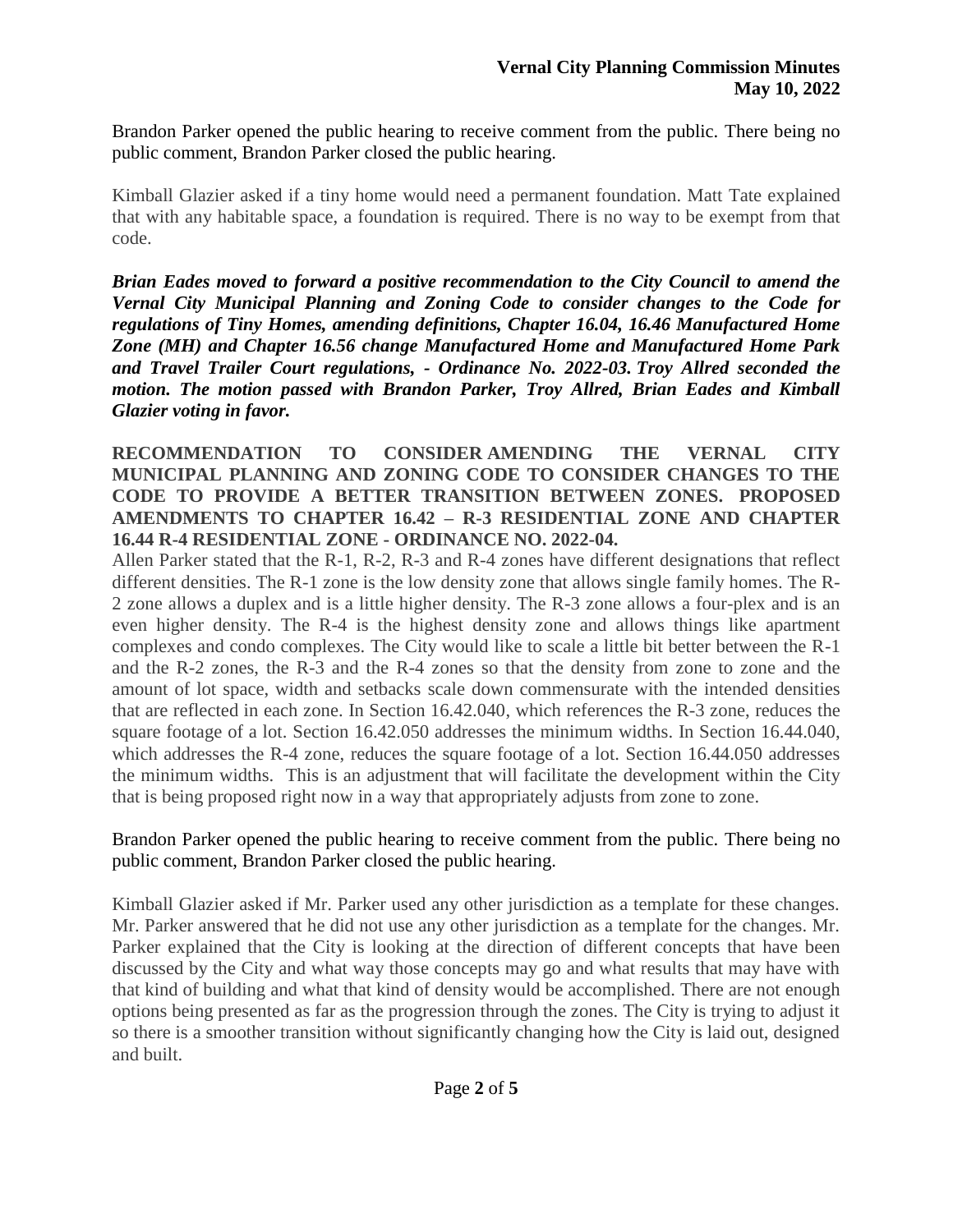Brandon Parker opened the public hearing to receive comment from the public. There being no public comment, Brandon Parker closed the public hearing.

Kimball Glazier asked if a tiny home would need a permanent foundation. Matt Tate explained that with any habitable space, a foundation is required. There is no way to be exempt from that code.

*Brian Eades moved to forward a positive recommendation to the City Council to amend the Vernal City Municipal Planning and Zoning Code to consider changes to the Code for regulations of Tiny Homes, amending definitions, Chapter 16.04, 16.46 Manufactured Home Zone (MH) and Chapter 16.56 change Manufactured Home and Manufactured Home Park and Travel Trailer Court regulations, - Ordinance No. 2022-03. Troy Allred seconded the motion. The motion passed with Brandon Parker, Troy Allred, Brian Eades and Kimball Glazier voting in favor.*

#### **RECOMMENDATION TO CONSIDER AMENDING THE VERNAL CITY MUNICIPAL PLANNING AND ZONING CODE TO CONSIDER CHANGES TO THE CODE TO PROVIDE A BETTER TRANSITION BETWEEN ZONES. PROPOSED AMENDMENTS TO CHAPTER 16.42 – R-3 RESIDENTIAL ZONE AND CHAPTER 16.44 R-4 RESIDENTIAL ZONE - ORDINANCE NO. 2022-04.**

Allen Parker stated that the R-1, R-2, R-3 and R-4 zones have different designations that reflect different densities. The R-1 zone is the low density zone that allows single family homes. The R-2 zone allows a duplex and is a little higher density. The R-3 zone allows a four-plex and is an even higher density. The R-4 is the highest density zone and allows things like apartment complexes and condo complexes. The City would like to scale a little bit better between the R-1 and the R-2 zones, the R-3 and the R-4 zones so that the density from zone to zone and the amount of lot space, width and setbacks scale down commensurate with the intended densities that are reflected in each zone. In Section 16.42.040, which references the R-3 zone, reduces the square footage of a lot. Section 16.42.050 addresses the minimum widths. In Section 16.44.040, which addresses the R-4 zone, reduces the square footage of a lot. Section 16.44.050 addresses the minimum widths. This is an adjustment that will facilitate the development within the City that is being proposed right now in a way that appropriately adjusts from zone to zone.

## Brandon Parker opened the public hearing to receive comment from the public. There being no public comment, Brandon Parker closed the public hearing.

Kimball Glazier asked if Mr. Parker used any other jurisdiction as a template for these changes. Mr. Parker answered that he did not use any other jurisdiction as a template for the changes. Mr. Parker explained that the City is looking at the direction of different concepts that have been discussed by the City and what way those concepts may go and what results that may have with that kind of building and what that kind of density would be accomplished. There are not enough options being presented as far as the progression through the zones. The City is trying to adjust it so there is a smoother transition without significantly changing how the City is laid out, designed and built.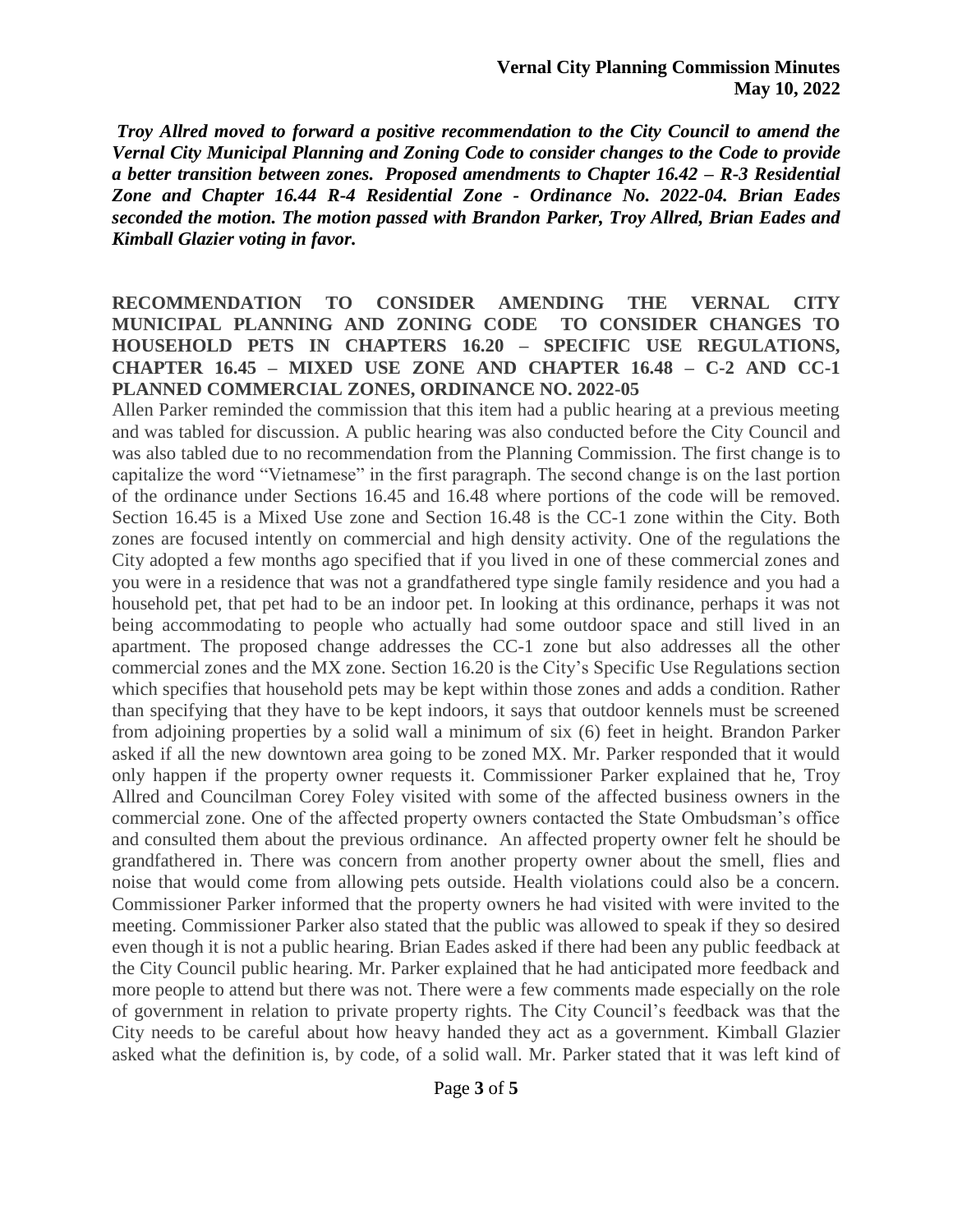*Troy Allred moved to forward a positive recommendation to the City Council to amend the Vernal City Municipal Planning and Zoning Code to consider changes to the Code to provide a better transition between zones. Proposed amendments to Chapter 16.42 – R-3 Residential Zone and Chapter 16.44 R-4 Residential Zone - Ordinance No. 2022-04. Brian Eades seconded the motion. The motion passed with Brandon Parker, Troy Allred, Brian Eades and Kimball Glazier voting in favor.*

#### **RECOMMENDATION TO CONSIDER AMENDING THE VERNAL CITY MUNICIPAL PLANNING AND ZONING CODE TO CONSIDER CHANGES TO HOUSEHOLD PETS IN CHAPTERS 16.20 – SPECIFIC USE REGULATIONS, CHAPTER 16.45 – MIXED USE ZONE AND CHAPTER 16.48 – C-2 AND CC-1 PLANNED COMMERCIAL ZONES, ORDINANCE NO. 2022-05**

Allen Parker reminded the commission that this item had a public hearing at a previous meeting and was tabled for discussion. A public hearing was also conducted before the City Council and was also tabled due to no recommendation from the Planning Commission. The first change is to capitalize the word "Vietnamese" in the first paragraph. The second change is on the last portion of the ordinance under Sections 16.45 and 16.48 where portions of the code will be removed. Section 16.45 is a Mixed Use zone and Section 16.48 is the CC-1 zone within the City. Both zones are focused intently on commercial and high density activity. One of the regulations the City adopted a few months ago specified that if you lived in one of these commercial zones and you were in a residence that was not a grandfathered type single family residence and you had a household pet, that pet had to be an indoor pet. In looking at this ordinance, perhaps it was not being accommodating to people who actually had some outdoor space and still lived in an apartment. The proposed change addresses the CC-1 zone but also addresses all the other commercial zones and the MX zone. Section 16.20 is the City's Specific Use Regulations section which specifies that household pets may be kept within those zones and adds a condition. Rather than specifying that they have to be kept indoors, it says that outdoor kennels must be screened from adjoining properties by a solid wall a minimum of six (6) feet in height. Brandon Parker asked if all the new downtown area going to be zoned MX. Mr. Parker responded that it would only happen if the property owner requests it. Commissioner Parker explained that he, Troy Allred and Councilman Corey Foley visited with some of the affected business owners in the commercial zone. One of the affected property owners contacted the State Ombudsman's office and consulted them about the previous ordinance. An affected property owner felt he should be grandfathered in. There was concern from another property owner about the smell, flies and noise that would come from allowing pets outside. Health violations could also be a concern. Commissioner Parker informed that the property owners he had visited with were invited to the meeting. Commissioner Parker also stated that the public was allowed to speak if they so desired even though it is not a public hearing. Brian Eades asked if there had been any public feedback at the City Council public hearing. Mr. Parker explained that he had anticipated more feedback and more people to attend but there was not. There were a few comments made especially on the role of government in relation to private property rights. The City Council's feedback was that the City needs to be careful about how heavy handed they act as a government. Kimball Glazier asked what the definition is, by code, of a solid wall. Mr. Parker stated that it was left kind of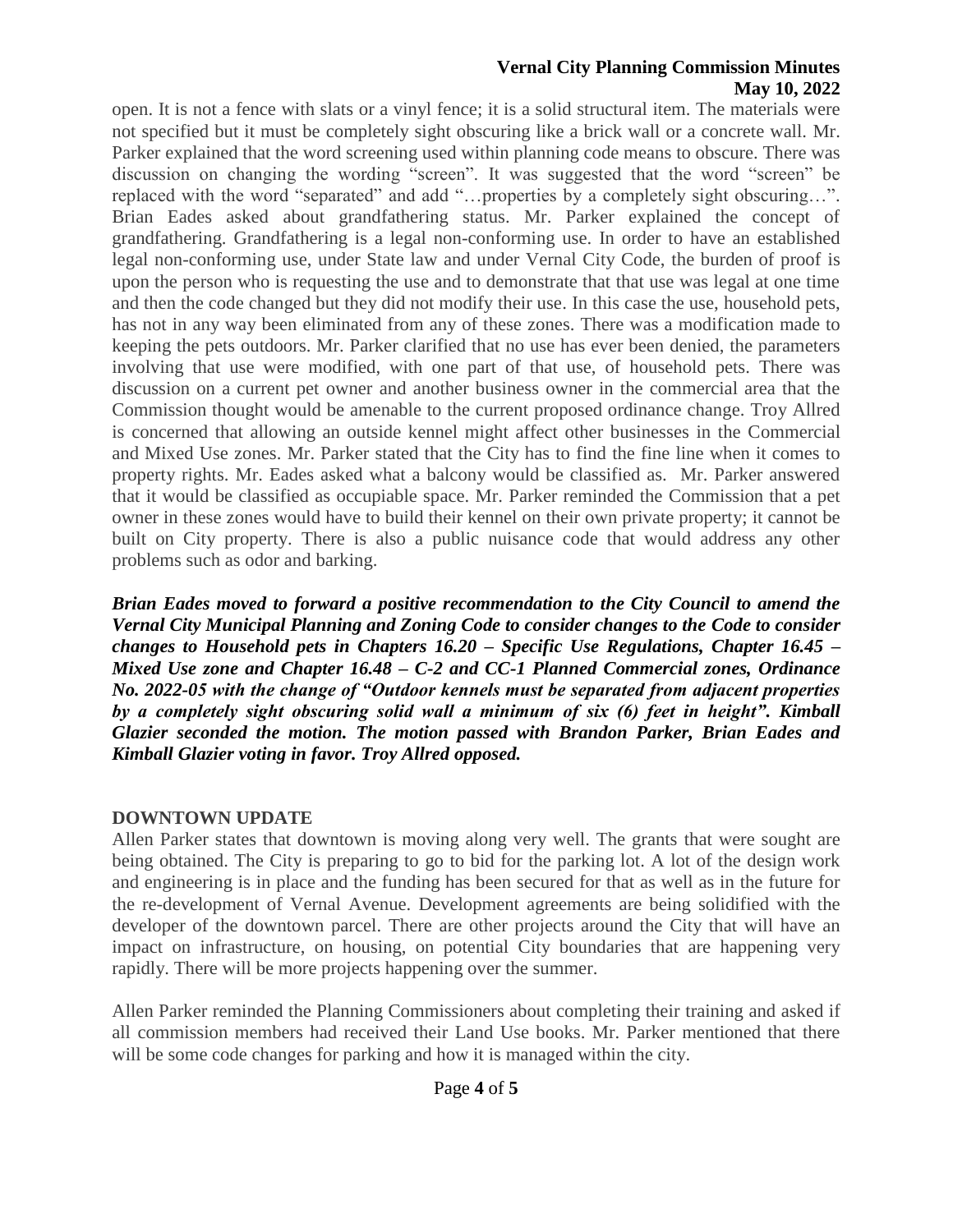### **Vernal City Planning Commission Minutes May 10, 2022**

open. It is not a fence with slats or a vinyl fence; it is a solid structural item. The materials were not specified but it must be completely sight obscuring like a brick wall or a concrete wall. Mr. Parker explained that the word screening used within planning code means to obscure. There was discussion on changing the wording "screen". It was suggested that the word "screen" be replaced with the word "separated" and add "…properties by a completely sight obscuring…". Brian Eades asked about grandfathering status. Mr. Parker explained the concept of grandfathering. Grandfathering is a legal non-conforming use. In order to have an established legal non-conforming use, under State law and under Vernal City Code, the burden of proof is upon the person who is requesting the use and to demonstrate that that use was legal at one time and then the code changed but they did not modify their use. In this case the use, household pets, has not in any way been eliminated from any of these zones. There was a modification made to keeping the pets outdoors. Mr. Parker clarified that no use has ever been denied, the parameters involving that use were modified, with one part of that use, of household pets. There was discussion on a current pet owner and another business owner in the commercial area that the Commission thought would be amenable to the current proposed ordinance change. Troy Allred is concerned that allowing an outside kennel might affect other businesses in the Commercial and Mixed Use zones. Mr. Parker stated that the City has to find the fine line when it comes to property rights. Mr. Eades asked what a balcony would be classified as. Mr. Parker answered that it would be classified as occupiable space. Mr. Parker reminded the Commission that a pet owner in these zones would have to build their kennel on their own private property; it cannot be built on City property. There is also a public nuisance code that would address any other problems such as odor and barking.

*Brian Eades moved to forward a positive recommendation to the City Council to amend the Vernal City Municipal Planning and Zoning Code to consider changes to the Code to consider changes to Household pets in Chapters 16.20 – Specific Use Regulations, Chapter 16.45 – Mixed Use zone and Chapter 16.48 – C-2 and CC-1 Planned Commercial zones, Ordinance No. 2022-05 with the change of "Outdoor kennels must be separated from adjacent properties by a completely sight obscuring solid wall a minimum of six (6) feet in height". Kimball Glazier seconded the motion. The motion passed with Brandon Parker, Brian Eades and Kimball Glazier voting in favor. Troy Allred opposed.* 

## **DOWNTOWN UPDATE**

Allen Parker states that downtown is moving along very well. The grants that were sought are being obtained. The City is preparing to go to bid for the parking lot. A lot of the design work and engineering is in place and the funding has been secured for that as well as in the future for the re-development of Vernal Avenue. Development agreements are being solidified with the developer of the downtown parcel. There are other projects around the City that will have an impact on infrastructure, on housing, on potential City boundaries that are happening very rapidly. There will be more projects happening over the summer.

Allen Parker reminded the Planning Commissioners about completing their training and asked if all commission members had received their Land Use books. Mr. Parker mentioned that there will be some code changes for parking and how it is managed within the city.